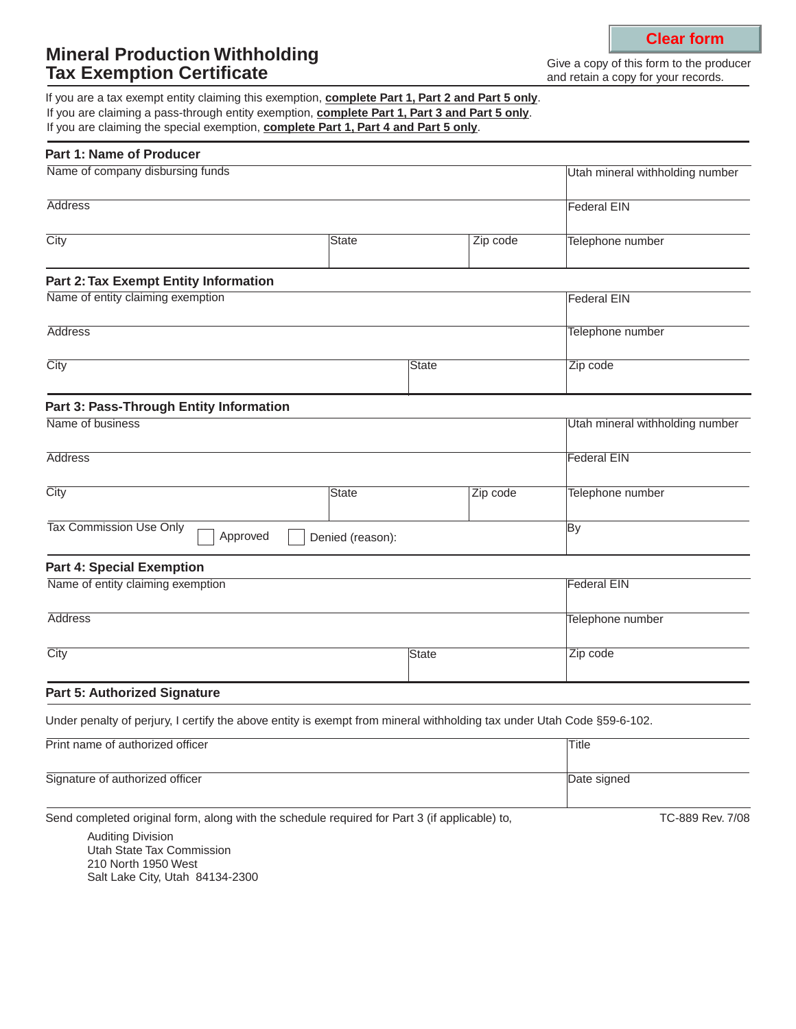# **Mineral Production Withholding Tax Exemption Certificate**

Give a copy of this form to the producer and retain a copy for your records.

If you are claiming a pass-through entity exemption, **complete Part 1, Part 3 and Part 5 only**. If you are claiming the special exemption, **complete Part 1, Part 4 and Part 5 only**. If you are a tax exempt entity claiming this exemption, **complete Part 1, Part 2 and Part 5 only**.

| <b>Part 1: Name of Producer</b>                                                                                        |              |  |          |                                 |
|------------------------------------------------------------------------------------------------------------------------|--------------|--|----------|---------------------------------|
| Name of company disbursing funds                                                                                       |              |  |          | Utah mineral withholding number |
| <b>Address</b>                                                                                                         |              |  |          | <b>Federal EIN</b>              |
| City                                                                                                                   | State        |  | Zip code | Telephone number                |
| <b>Part 2: Tax Exempt Entity Information</b>                                                                           |              |  |          |                                 |
| Name of entity claiming exemption                                                                                      |              |  |          | <b>Federal EIN</b>              |
| <b>Address</b>                                                                                                         |              |  |          | Telephone number                |
| City                                                                                                                   | <b>State</b> |  |          | Zip code                        |
| Part 3: Pass-Through Entity Information                                                                                |              |  |          |                                 |
| Name of business                                                                                                       |              |  |          | Utah mineral withholding number |
| <b>Address</b>                                                                                                         |              |  |          | <b>Federal EIN</b>              |
| City                                                                                                                   | <b>State</b> |  | Zip code | Telephone number                |
| Tax Commission Use Only<br>Approved<br>Denied (reason):                                                                |              |  |          | By                              |
| <b>Part 4: Special Exemption</b>                                                                                       |              |  |          |                                 |
| Name of entity claiming exemption                                                                                      |              |  |          | <b>Federal EIN</b>              |
| <b>Address</b>                                                                                                         |              |  |          | Telephone number                |
| City<br><b>State</b>                                                                                                   |              |  | Zip code |                                 |
| <b>Part 5: Authorized Signature</b>                                                                                    |              |  |          |                                 |
| Under penalty of perjury, I certify the above entity is exempt from mineral withholding tax under Utah Code §59-6-102. |              |  |          |                                 |
| Print name of authorized officer                                                                                       |              |  | Title    |                                 |
| Signature of authorized officer                                                                                        |              |  |          | Date signed                     |

Send completed original form, along with the schedule required for Part 3 (if applicable) to,

TC-889 Rev. 7/08

Auditing Division Utah State Tax Commission 210 North 1950 West Salt Lake City, Utah 84134-2300